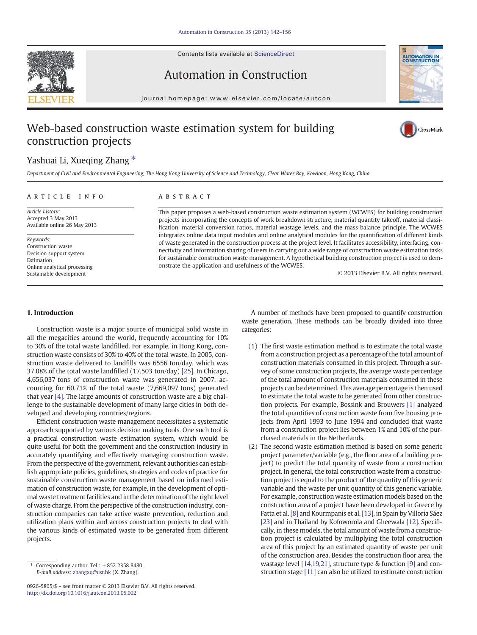Contents lists available at ScienceDirect





# Automation in Construction

journal homepage: www.elsevier.com/locate/autcon

# Web-based construction waste estimation system for building construction projects



## Yashuai Li, Xueging Zhang  $*$

Department of Civil and Environmental Engineering, The Hong Kong University of Science and Technology, Clear Water Bay, Kowloon, Hong Kong, China

#### ARTICLE INFO ABSTRACT

Article history: Accepted 3 May 2013 Available online 26 May 2013

Keywords: Construction waste Decision support system Estimation Online analytical processing Sustainable development

This paper proposes a web-based construction waste estimation system (WCWES) for building construction projects incorporating the concepts of work breakdown structure, material quantity takeoff, material classification, material conversion ratios, material wastage levels, and the mass balance principle. The WCWES integrates online data input modules and online analytical modules for the quantification of different kinds of waste generated in the construction process at the project level. It facilitates accessibility, interfacing, connectivity and information sharing of users in carrying out a wide range of construction waste estimation tasks for sustainable construction waste management. A hypothetical building construction project is used to demonstrate the application and usefulness of the WCWES.

© 2013 Elsevier B.V. All rights reserved.

#### 1. Introduction

Construction waste is a major source of municipal solid waste in all the megacities around the world, frequently accounting for 10% to 30% of the total waste landfilled. For example, in Hong Kong, construction waste consists of 30% to 40% of the total waste. In 2005, construction waste delivered to landfills was 6556 ton/day, which was 37.08% of the total waste landfilled (17,503 ton/day) [\[25\]](#page--1-0). In Chicago, 4,656,037 tons of construction waste was generated in 2007, accounting for 60.71% of the total waste (7,669,097 tons) generated that year [\[4\].](#page--1-0) The large amounts of construction waste are a big challenge to the sustainable development of many large cities in both developed and developing countries/regions.

Efficient construction waste management necessitates a systematic approach supported by various decision making tools. One such tool is a practical construction waste estimation system, which would be quite useful for both the government and the construction industry in accurately quantifying and effectively managing construction waste. From the perspective of the government, relevant authorities can establish appropriate policies, guidelines, strategies and codes of practice for sustainable construction waste management based on informed estimation of construction waste, for example, in the development of optimal waste treatment facilities and in the determination of the right level of waste charge. From the perspective of the construction industry, construction companies can take active waste prevention, reduction and utilization plans within and across construction projects to deal with the various kinds of estimated waste to be generated from different projects.

0926-5805/\$ – see front matter © 2013 Elsevier B.V. All rights reserved. <http://dx.doi.org/10.1016/j.autcon.2013.05.002>

A number of methods have been proposed to quantify construction waste generation. These methods can be broadly divided into three categories:

- (1) The first waste estimation method is to estimate the total waste from a construction project as a percentage of the total amount of construction materials consumed in this project. Through a survey of some construction projects, the average waste percentage of the total amount of construction materials consumed in these projects can be determined. This average percentage is then used to estimate the total waste to be generated from other construction projects. For example, Bossink and Brouwers [\[1\]](#page--1-0) analyzed the total quantities of construction waste from five housing projects from April 1993 to June 1994 and concluded that waste from a construction project lies between 1% and 10% of the purchased materials in the Netherlands.
- (2) The second waste estimation method is based on some generic project parameter/variable (e.g., the floor area of a building project) to predict the total quantity of waste from a construction project. In general, the total construction waste from a construction project is equal to the product of the quantity of this generic variable and the waste per unit quantity of this generic variable. For example, construction waste estimation models based on the construction area of a project have been developed in Greece by Fatta et al. [\[8\]](#page--1-0) and Kourmpanis et al. [\[13\]](#page--1-0), in Spain by Villoria Sáez [\[23\]](#page--1-0) and in Thailand by Kofoworola and Gheewala [\[12\]](#page--1-0). Specifically, in these models, the total amount of waste from a construction project is calculated by multiplying the total construction area of this project by an estimated quantity of waste per unit of the construction area. Besides the construction floor area, the wastage level [\[14,19,21\]](#page--1-0), structure type & function [\[9\]](#page--1-0) and construction stage [\[11\]](#page--1-0) can also be utilized to estimate construction

 $*$  Corresponding author. Tel.:  $+852$  2358 8480. E-mail address: [zhangxq@ust.hk](mailto:zhangxq@ust.hk) (X. Zhang).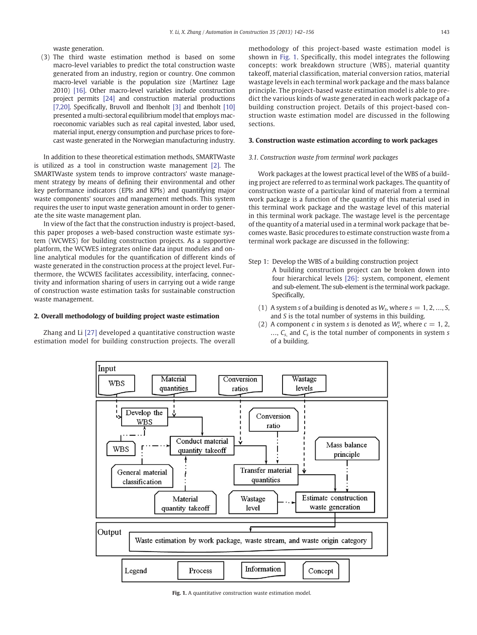waste generation.

(3) The third waste estimation method is based on some macro-level variables to predict the total construction waste generated from an industry, region or country. One common macro-level variable is the population size (Martínez Lage 2010) [\[16\]](#page--1-0). Other macro-level variables include construction project permits [\[24\]](#page--1-0) and construction material productions [\[7,20\]](#page--1-0). Specifically, Bruvoll and Ibenholt [\[3\]](#page--1-0) and Ibenholt [\[10\]](#page--1-0) presented a multi-sectoral equilibrium model that employs macroeconomic variables such as real capital invested, labor used, material input, energy consumption and purchase prices to forecast waste generated in the Norwegian manufacturing industry.

In addition to these theoretical estimation methods, SMARTWaste is utilized as a tool in construction waste management [\[2\].](#page--1-0) The SMARTWaste system tends to improve contractors' waste management strategy by means of defining their environmental and other key performance indicators (EPIs and KPIs) and quantifying major waste components' sources and management methods. This system requires the user to input waste generation amount in order to generate the site waste management plan.

In view of the fact that the construction industry is project-based, this paper proposes a web-based construction waste estimate system (WCWES) for building construction projects. As a supportive platform, the WCWES integrates online data input modules and online analytical modules for the quantification of different kinds of waste generated in the construction process at the project level. Furthermore, the WCWES facilitates accessibility, interfacing, connectivity and information sharing of users in carrying out a wide range of construction waste estimation tasks for sustainable construction waste management.

#### 2. Overall methodology of building project waste estimation

Zhang and Li [\[27\]](#page--1-0) developed a quantitative construction waste estimation model for building construction projects. The overall methodology of this project-based waste estimation model is shown in Fig. 1. Specifically, this model integrates the following concepts: work breakdown structure (WBS), material quantity takeoff, material classification, material conversion ratios, material wastage levels in each terminal work package and the mass balance principle. The project-based waste estimation model is able to predict the various kinds of waste generated in each work package of a building construction project. Details of this project-based construction waste estimation model are discussed in the following sections.

#### 3. Construction waste estimation according to work packages

### 3.1. Construction waste from terminal work packages

Work packages at the lowest practical level of the WBS of a building project are referred to as terminal work packages. The quantity of construction waste of a particular kind of material from a terminal work package is a function of the quantity of this material used in this terminal work package and the wastage level of this material in this terminal work package. The wastage level is the percentage of the quantity of a material used in a terminal work package that becomes waste. Basic procedures to estimate construction waste from a terminal work package are discussed in the following:

Step 1: Develop the WBS of a building construction project A building construction project can be broken down into

four hierarchical levels [\[26\]:](#page--1-0) system, component, element and sub-element. The sub-element is the terminal work package. Specifically,

- (1) A system s of a building is denoted as  $W_s$ , where  $s = 1, 2, ..., S$ , and S is the total number of systems in this building.
- (2) A component c in system s is denoted as  $W_c^s$ , where  $c = 1, 2,$  $..., C_s$  and  $C_s$  is the total number of components in system s of a building.



Fig. 1. A quantitative construction waste estimation model.